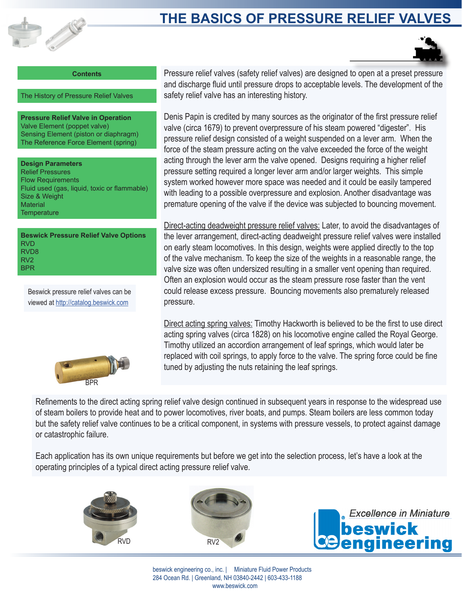

# **THE BASICS OF PRESSURE RELIEF VALVES**



**Contents**

The History of Pressure Relief Valves

**Pressure Relief Valve in Operation** Valve Element (poppet valve) Sensing Element (piston or diaphragm) The Reference Force Element (spring)

**Design Parameters** Relief Pressures Flow Requirements Fluid used (gas, liquid, toxic or flammable) Size & Weight **Material Temperature** 

**Beswick Pressure Relief Valve Options** RVD RVD8 RV2 BPR

Beswick pressure relief valves can be viewed at http://catalog.beswick.com



Pressure relief valves (safety relief valves) are designed to open at a preset pressure and discharge fluid until pressure drops to acceptable levels. The development of the safety relief valve has an interesting history.

Denis Papin is credited by many sources as the originator of the first pressure relief valve (circa 1679) to prevent overpressure of his steam powered "digester". His pressure relief design consisted of a weight suspended on a lever arm. When the force of the steam pressure acting on the valve exceeded the force of the weight acting through the lever arm the valve opened. Designs requiring a higher relief pressure setting required a longer lever arm and/or larger weights. This simple system worked however more space was needed and it could be easily tampered with leading to a possible overpressure and explosion. Another disadvantage was premature opening of the valve if the device was subjected to bouncing movement.

Direct-acting deadweight pressure relief valves: Later, to avoid the disadvantages of the lever arrangement, direct-acting deadweight pressure relief valves were installed on early steam locomotives. In this design, weights were applied directly to the top of the valve mechanism. To keep the size of the weights in a reasonable range, the valve size was often undersized resulting in a smaller vent opening than required. Often an explosion would occur as the steam pressure rose faster than the vent could release excess pressure. Bouncing movements also prematurely released pressure.

Direct acting spring valves: Timothy Hackworth is believed to be the first to use direct acting spring valves (circa 1828) on his locomotive engine called the Royal George. Timothy utilized an accordion arrangement of leaf springs, which would later be replaced with coil springs, to apply force to the valve. The spring force could be fine tuned by adjusting the nuts retaining the leaf springs.

Refinements to the direct acting spring relief valve design continued in subsequent years in response to the widespread use of steam boilers to provide heat and to power locomotives, river boats, and pumps. Steam boilers are less common today but the safety relief valve continues to be a critical component, in systems with pressure vessels, to protect against damage or catastrophic failure.

Each application has its own unique requirements but before we get into the selection process, let's have a look at the operating principles of a typical direct acting pressure relief valve.





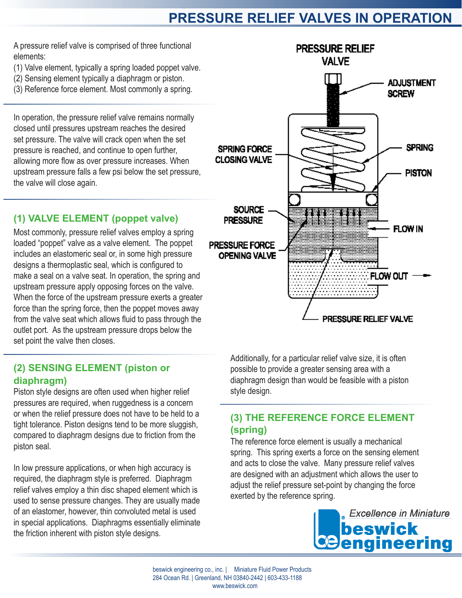# **PRESSURE RELIEF VALVES IN OPERATION**

A pressure relief valve is comprised of three functional elements:

- (1) Valve element, typically a spring loaded poppet valve.
- (2) Sensing element typically a diaphragm or piston.
- (3) Reference force element. Most commonly a spring.

In operation, the pressure relief valve remains normally closed until pressures upstream reaches the desired set pressure. The valve will crack open when the set pressure is reached, and continue to open further, allowing more flow as over pressure increases. When upstream pressure falls a few psi below the set pressure, the valve will close again.

### **(1) VALVE ELEMENT (poppet valve)**

Most commonly, pressure relief valves employ a spring loaded "poppet" valve as a valve element. The poppet includes an elastomeric seal or, in some high pressure designs a thermoplastic seal, which is configured to make a seal on a valve seat. In operation, the spring and upstream pressure apply opposing forces on the valve. When the force of the upstream pressure exerts a greater force than the spring force, then the poppet moves away from the valve seat which allows fluid to pass through the outlet port. As the upstream pressure drops below the set point the valve then closes.

### **(2) SENSING ELEMENT (piston or diaphragm)**

Piston style designs are often used when higher relief pressures are required, when ruggedness is a concern or when the relief pressure does not have to be held to a tight tolerance. Piston designs tend to be more sluggish, compared to diaphragm designs due to friction from the piston seal.

In low pressure applications, or when high accuracy is required, the diaphragm style is preferred. Diaphragm relief valves employ a thin disc shaped element which is used to sense pressure changes. They are usually made of an elastomer, however, thin convoluted metal is used in special applications. Diaphragms essentially eliminate the friction inherent with piston style designs.



Additionally, for a particular relief valve size, it is often possible to provide a greater sensing area with a diaphragm design than would be feasible with a piston style design.

### **(3) THE REFERENCE FORCE ELEMENT (spring)**

The reference force element is usually a mechanical spring. This spring exerts a force on the sensing element and acts to close the valve. Many pressure relief valves are designed with an adjustment which allows the user to adjust the relief pressure set-point by changing the force exerted by the reference spring.

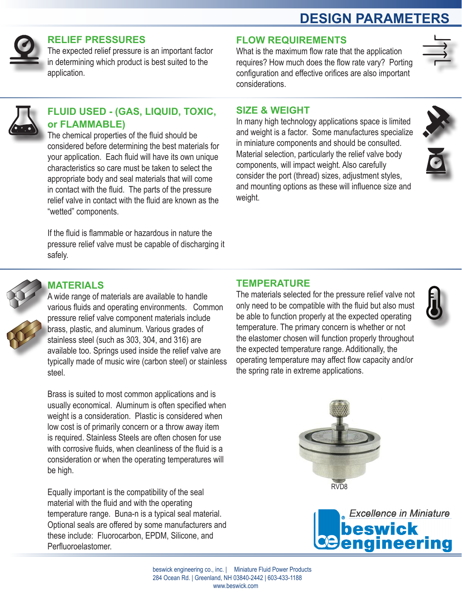# **DESIGN PARAMETERS**



### **RELIEF PRESSURES**

The expected relief pressure is an important factor in determining which product is best suited to the application.

## **FLOW REQUIREMENTS**

What is the maximum flow rate that the application requires? How much does the flow rate vary? Porting configuration and effective orifices are also important considerations.



### **FLUID USED - (GAS, LIQUID, TOXIC, or FLAMMABLE)**

The chemical properties of the fluid should be considered before determining the best materials for your application. Each fluid will have its own unique characteristics so care must be taken to select the appropriate body and seal materials that will come in contact with the fluid. The parts of the pressure relief valve in contact with the fluid are known as the "wetted" components.

If the fluid is flammable or hazardous in nature the pressure relief valve must be capable of discharging it safely.

### **SIZE & WEIGHT**

In many high technology applications space is limited and weight is a factor. Some manufactures specialize in miniature components and should be consulted. Material selection, particularly the relief valve body components, will impact weight. Also carefully consider the port (thread) sizes, adjustment styles, and mounting options as these will influence size and weight.



# **MATERIALS**

A wide range of materials are available to handle various fluids and operating environments. Common pressure relief valve component materials include brass, plastic, and aluminum. Various grades of stainless steel (such as 303, 304, and 316) are available too. Springs used inside the relief valve are typically made of music wire (carbon steel) or stainless steel.

Brass is suited to most common applications and is usually economical. Aluminum is often specified when weight is a consideration. Plastic is considered when low cost is of primarily concern or a throw away item is required. Stainless Steels are often chosen for use with corrosive fluids, when cleanliness of the fluid is a consideration or when the operating temperatures will be high.

Equally important is the compatibility of the seal material with the fluid and with the operating temperature range. Buna-n is a typical seal material. Optional seals are offered by some manufacturers and these include: Fluorocarbon, EPDM, Silicone, and Perfluoroelastomer.

# **TEMPERATURE**

The materials selected for the pressure relief valve not only need to be compatible with the fluid but also must be able to function properly at the expected operating temperature. The primary concern is whether or not the elastomer chosen will function properly throughout the expected temperature range. Additionally, the operating temperature may affect flow capacity and/or the spring rate in extreme applications.







beswick engineering co., inc. | Miniature Fluid Power Products 284 Ocean Rd. | Greenland, NH 03840-2442 | 603-433-1188 www.beswick.com